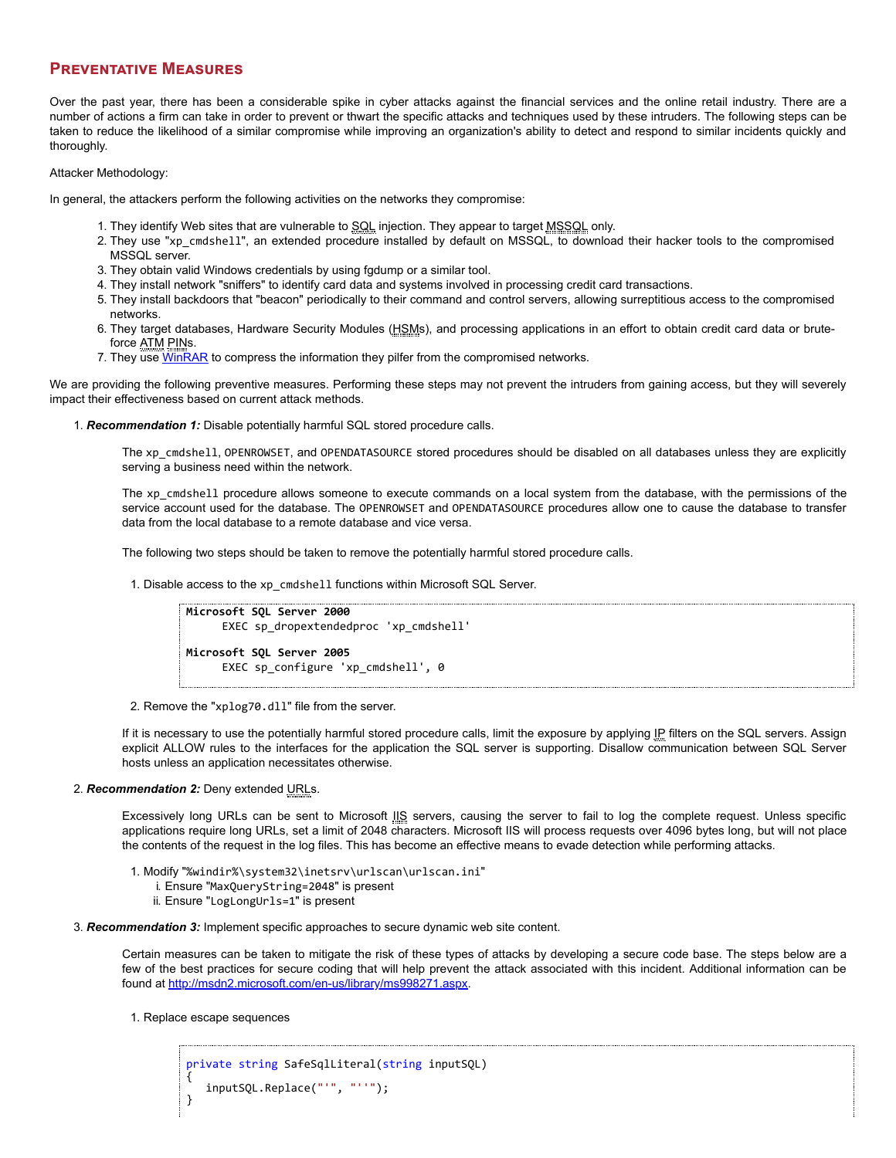## **PREVENTATIVE MEASURES**

Over the past year, there has been a considerable spike in cyber attacks against the financial services and the online retail industry. There are a number of actions a firm can take in order to prevent or thwart the specific attacks and techniques used by these intruders. The following steps can be taken to reduce the likelihood of a similar compromise while improving an organization's ability to detect and respond to similar incidents quickly and thoroughly.

## Attacker Methodology:

In general, the attackers perform the following activities on the networks they compromise:

- 1. They identify Web sites that are vulnerable to SQL injection. They appear to target MSSQL only.
- 2. They use "xp\_cmdshell", an extended procedure installed by default on MSSQL, to download their hacker tools to the compromised MSSQL server.
- 3. They obtain valid Windows credentials by using fgdump or a similar tool.
- 4. They install network "sniffers" to identify card data and systems involved in processing credit card transactions.
- 5. They install backdoors that "beacon" periodically to their command and control servers, allowing surreptitious access to the compromised networks.
- 6. They target databases, Hardware Security Modules (HSMs), and processing applications in an effort to obtain credit card data or bruteforce ATM PINs.
- 7. They use [WinRAR](https://www.ic3.gov/egress.aspx?u=http%3a%2f%2fwww.rarsoft.com%2f&h=2DDE2765C70E9BDA27E81C497F48E96C290BB8A989032CAE65277EAA0BB20621) to compress the information they pilfer from the compromised networks.

We are providing the following preventive measures. Performing these steps may not prevent the intruders from gaining access, but they will severely impact their effectiveness based on current attack methods.

1. *Recommendation 1:* Disable potentially harmful SQL stored procedure calls.

The xp\_cmdshell, OPENROWSET, and OPENDATASOURCE stored procedures should be disabled on all databases unless they are explicitly serving a business need within the network.

The xp cmdshell procedure allows someone to execute commands on a local system from the database, with the permissions of the service account used for the database. The OPENROWSET and OPENDATASOURCE procedures allow one to cause the database to transfer data from the local database to a remote database and vice versa.

The following two steps should be taken to remove the potentially harmful stored procedure calls.

1. Disable access to the xp\_cmdshell functions within Microsoft SQL Server.

```
Microsoft SQL Server 2000
     EXEC sp_dropextendedproc 'xp_cmdshell'
Microsoft SQL Server 2005
     EXEC sp_configure 'xp_cmdshell', 0
```
2. Remove the "xplog70.dll" file from the server.

If it is necessary to use the potentially harmful stored procedure calls, limit the exposure by applying IP filters on the SQL servers. Assign explicit ALLOW rules to the interfaces for the application the SQL server is supporting. Disallow communication between SQL Server hosts unless an application necessitates otherwise.

## 2. *Recommendation 2:* Deny extended URLs.

Excessively long URLs can be sent to Microsoft  $\frac{1}{2}$  servers, causing the server to fail to log the complete request. Unless specific applications require long URLs, set a limit of 2048 characters. Microsoft IIS will process requests over 4096 bytes long, but will not place the contents of the request in the log files. This has become an effective means to evade detection while performing attacks.

- 1. Modify "%windir%\system32\inetsrv\urlscan\urlscan.ini"
	- i. Ensure "MaxQueryString=2048" is present
	- ii. Ensure "LogLongUrls=1" is present
- 3. *Recommendation 3:* Implement specific approaches to secure dynamic web site content.

Certain measures can be taken to mitigate the risk of these types of attacks by developing a secure code base. The steps below are a few of the best practices for secure coding that will help prevent the attack associated with this incident. Additional information can be found at [http://msdn2.microsoft.com/en-us/library/ms998271.aspx.](https://www.ic3.gov/egress.aspx?u=http%3a%2f%2fmsdn2.microsoft.com%2fen-us%2flibrary%2fms998271.aspx&h=9CFF27BE168160974093F76EBA2FDECF6922C0EA48CC39AE16DC830A0084B1DA)

1. Replace escape sequences

```
private string SafeSqlLiteral(string inputSQL)
{
   inputSQL.Replace("'", "''");
}
```